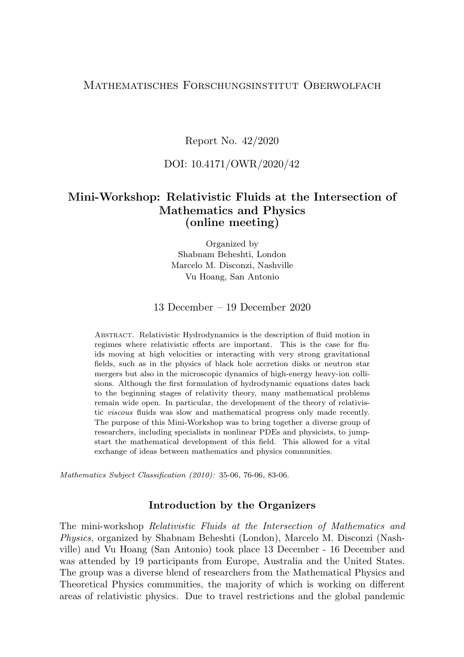## Mathematisches Forschungsinstitut Oberwolfach

Report No. 42/2020

## DOI: 10.4171/OWR/2020/42

# Mini-Workshop: Relativistic Fluids at the Intersection of Mathematics and Physics (online meeting)

Organized by Shabnam Beheshti, London Marcelo M. Disconzi, Nashville Vu Hoang, San Antonio

13 December – 19 December 2020

Abstract. Relativistic Hydrodynamics is the description of fluid motion in regimes where relativistic effects are important. This is the case for fluids moving at high velocities or interacting with very strong gravitational fields, such as in the physics of black hole accretion disks or neutron star mergers but also in the microscopic dynamics of high-energy heavy-ion collisions. Although the first formulation of hydrodynamic equations dates back to the beginning stages of relativity theory, many mathematical problems remain wide open. In particular, the development of the theory of relativistic viscous fluids was slow and mathematical progress only made recently. The purpose of this Mini-Workshop was to bring together a diverse group of researchers, including specialists in nonlinear PDEs and physicists, to jumpstart the mathematical development of this field. This allowed for a vital exchange of ideas between mathematics and physics communities.

Mathematics Subject Classification (2010): 35-06, 76-06, 83-06.

## Introduction by the Organizers

The mini-workshop Relativistic Fluids at the Intersection of Mathematics and Physics, organized by Shabnam Beheshti (London), Marcelo M. Disconzi (Nashville) and Vu Hoang (San Antonio) took place 13 December - 16 December and was attended by 19 participants from Europe, Australia and the United States. The group was a diverse blend of researchers from the Mathematical Physics and Theoretical Physics communities, the majority of which is working on different areas of relativistic physics. Due to travel restrictions and the global pandemic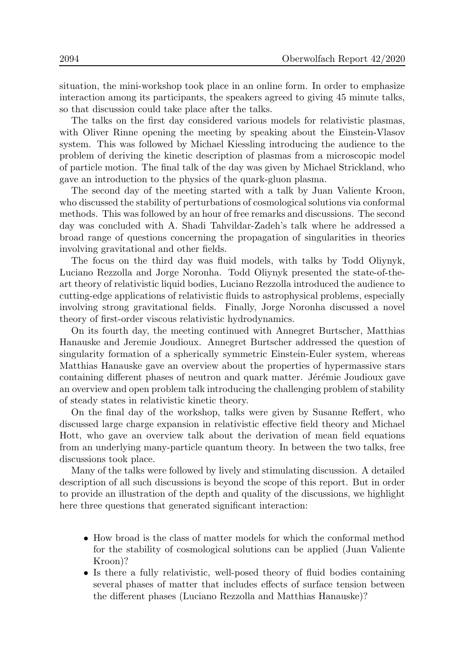situation, the mini-workshop took place in an online form. In order to emphasize interaction among its participants, the speakers agreed to giving 45 minute talks, so that discussion could take place after the talks.

The talks on the first day considered various models for relativistic plasmas, with Oliver Rinne opening the meeting by speaking about the Einstein-Vlasov system. This was followed by Michael Kiessling introducing the audience to the problem of deriving the kinetic description of plasmas from a microscopic model of particle motion. The final talk of the day was given by Michael Strickland, who gave an introduction to the physics of the quark-gluon plasma.

The second day of the meeting started with a talk by Juan Valiente Kroon, who discussed the stability of perturbations of cosmological solutions via conformal methods. This was followed by an hour of free remarks and discussions. The second day was concluded with A. Shadi Tahvildar-Zadeh's talk where he addressed a broad range of questions concerning the propagation of singularities in theories involving gravitational and other fields.

The focus on the third day was fluid models, with talks by Todd Oliynyk, Luciano Rezzolla and Jorge Noronha. Todd Oliynyk presented the state-of-theart theory of relativistic liquid bodies, Luciano Rezzolla introduced the audience to cutting-edge applications of relativistic fluids to astrophysical problems, especially involving strong gravitational fields. Finally, Jorge Noronha discussed a novel theory of first-order viscous relativistic hydrodynamics.

On its fourth day, the meeting continued with Annegret Burtscher, Matthias Hanauske and Jeremie Joudioux. Annegret Burtscher addressed the question of singularity formation of a spherically symmetric Einstein-Euler system, whereas Matthias Hanauske gave an overview about the properties of hypermassive stars containing different phases of neutron and quark matter. Jérémie Joudioux gave an overview and open problem talk introducing the challenging problem of stability of steady states in relativistic kinetic theory.

On the final day of the workshop, talks were given by Susanne Reffert, who discussed large charge expansion in relativistic effective field theory and Michael Hott, who gave an overview talk about the derivation of mean field equations from an underlying many-particle quantum theory. In between the two talks, free discussions took place.

Many of the talks were followed by lively and stimulating discussion. A detailed description of all such discussions is beyond the scope of this report. But in order to provide an illustration of the depth and quality of the discussions, we highlight here three questions that generated significant interaction:

- How broad is the class of matter models for which the conformal method for the stability of cosmological solutions can be applied (Juan Valiente Kroon)?
- Is there a fully relativistic, well-posed theory of fluid bodies containing several phases of matter that includes effects of surface tension between the different phases (Luciano Rezzolla and Matthias Hanauske)?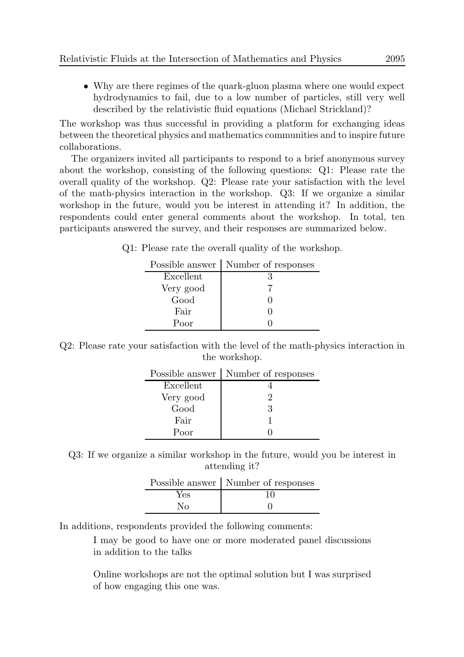• Why are there regimes of the quark-gluon plasma where one would expect hydrodynamics to fail, due to a low number of particles, still very well described by the relativistic fluid equations (Michael Strickland)?

The workshop was thus successful in providing a platform for exchanging ideas between the theoretical physics and mathematics communities and to inspire future collaborations.

The organizers invited all participants to respond to a brief anonymous survey about the workshop, consisting of the following questions: Q1: Please rate the overall quality of the workshop. Q2: Please rate your satisfaction with the level of the math-physics interaction in the workshop. Q3: If we organize a similar workshop in the future, would you be interest in attending it? In addition, the respondents could enter general comments about the workshop. In total, ten participants answered the survey, and their responses are summarized below.

Q1: Please rate the overall quality of the workshop.

| Number of responses |
|---------------------|
| R                   |
|                     |
|                     |
|                     |
|                     |
|                     |

Q2: Please rate your satisfaction with the level of the math-physics interaction in the workshop.

|           | Possible answer   Number of responses |
|-----------|---------------------------------------|
| Excellent |                                       |
| Very good | 9                                     |
| Good      | 3                                     |
| Fair      |                                       |
| Poor      |                                       |

Q3: If we organize a similar workshop in the future, would you be interest in attending it?

|     | Possible answer   Number of responses |
|-----|---------------------------------------|
| Yes | 10                                    |
| Nο  |                                       |

In additions, respondents provided the following comments:

I may be good to have one or more moderated panel discussions in addition to the talks

Online workshops are not the optimal solution but I was surprised of how engaging this one was.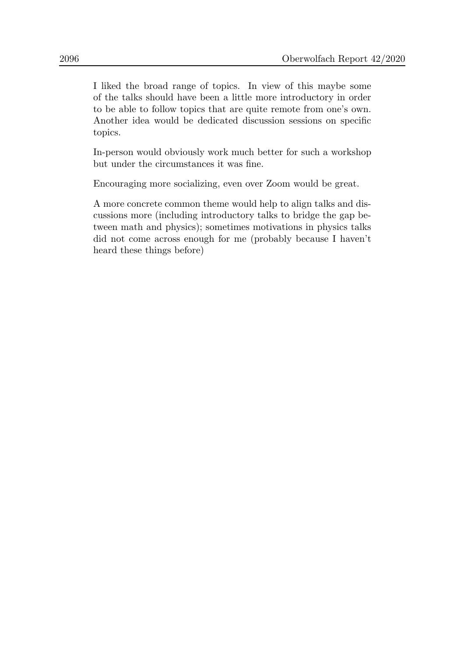I liked the broad range of topics. In view of this maybe some of the talks should have been a little more introductory in order to be able to follow topics that are quite remote from one's own. Another idea would be dedicated discussion sessions on specific topics.

In-person would obviously work much better for such a workshop but under the circumstances it was fine.

Encouraging more socializing, even over Zoom would be great.

A more concrete common theme would help to align talks and discussions more (including introductory talks to bridge the gap between math and physics); sometimes motivations in physics talks did not come across enough for me (probably because I haven't heard these things before)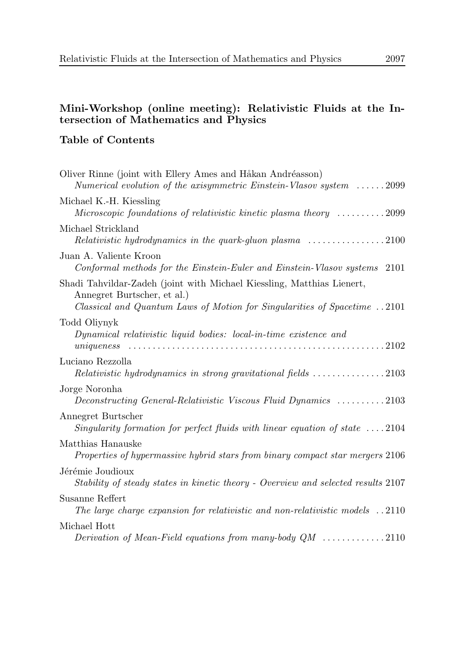# Mini-Workshop (online meeting): Relativistic Fluids at the Intersection of Mathematics and Physics

# Table of Contents

| Oliver Rinne (joint with Ellery Ames and Håkan Andréasson)<br>Numerical evolution of the axisymmetric Einstein-Vlasov system $\ldots \ldots 2099$                                 |
|-----------------------------------------------------------------------------------------------------------------------------------------------------------------------------------|
| Michael K.-H. Kiessling<br>Microscopic foundations of relativistic kinetic plasma theory 2099                                                                                     |
| Michael Strickland<br>Relativistic hydrodynamics in the quark-gluon plasma $\ldots \ldots \ldots \ldots \ldots 2100$                                                              |
| Juan A. Valiente Kroon<br>Conformal methods for the Einstein-Euler and Einstein-Vlasov systems 2101                                                                               |
| Shadi Tahvildar-Zadeh (joint with Michael Kiessling, Matthias Lienert,<br>Annegret Burtscher, et al.)<br>Classical and Quantum Laws of Motion for Singularities of Spacetime 2101 |
| Todd Oliynyk<br>Dynamical relativistic liquid bodies: local-in-time existence and                                                                                                 |
| Luciano Rezzolla<br>Relativistic hydrodynamics in strong gravitational fields 2103                                                                                                |
| Jorge Noronha<br>Deconstructing General-Relativistic Viscous Fluid Dynamics 2103                                                                                                  |
| Annegret Burtscher<br>Singularity formation for perfect fluids with linear equation of state $\dots$ 2104                                                                         |
| Matthias Hanauske<br>Properties of hypermassive hybrid stars from binary compact star mergers 2106                                                                                |
| Jérémie Joudioux<br>Stability of steady states in kinetic theory - Overview and selected results 2107                                                                             |
| Susanne Reffert<br>The large charge expansion for relativistic and non-relativistic models $\ldots$ 2110                                                                          |
| Michael Hott<br>Derivation of Mean-Field equations from many-body $QM$ 2110                                                                                                       |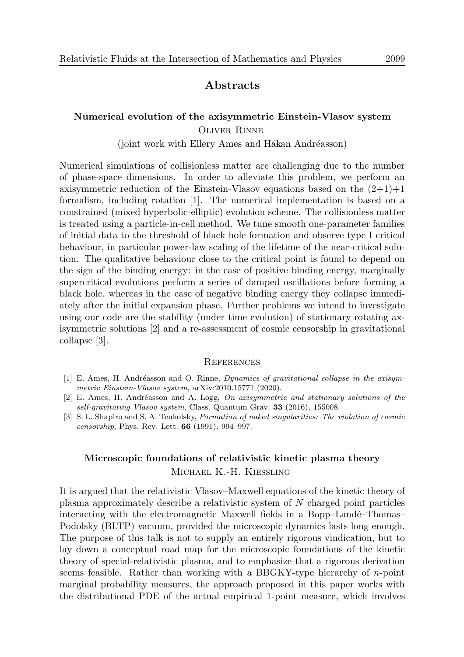## Abstracts

## Numerical evolution of the axisymmetric Einstein-Vlasov system Oliver Rinne

 $(joint work with Ellery Ames and Håkan Andréasson)$ 

Numerical simulations of collisionless matter are challenging due to the number of phase-space dimensions. In order to alleviate this problem, we perform an axisymmetric reduction of the Einstein-Vlasov equations based on the  $(2+1)+1$ formalism, including rotation [1]. The numerical implementation is based on a constrained (mixed hyperbolic-elliptic) evolution scheme. The collisionless matter is treated using a particle-in-cell method. We tune smooth one-parameter families of initial data to the threshold of black hole formation and observe type I critical behaviour, in particular power-law scaling of the lifetime of the near-critical solution. The qualitative behaviour close to the critical point is found to depend on the sign of the binding energy: in the case of positive binding energy, marginally supercritical evolutions perform a series of damped oscillations before forming a black hole, whereas in the case of negative binding energy they collapse immediately after the initial expansion phase. Further problems we intend to investigate using our code are the stability (under time evolution) of stationary rotating axisymmetric solutions [2] and a re-assessment of cosmic censorship in gravitational collapse [3].

### **REFERENCES**

- [1] E. Ames, H. Andréasson and O. Rinne, *Dynamics of gravitational collapse in the axisym*metric Einstein-Vlasov system, arXiv:2010.15771 (2020).
- [2] E. Ames, H. Andréasson and A. Logg, On axisymmetric and stationary solutions of the self-gravitating Vlasov system, Class. Quantum Grav. 33 (2016), 155008.
- [3] S. L. Shapiro and S. A. Teukolsky, Formation of naked singularities: The violation of cosmic censorship, Phys. Rev. Lett. 66 (1991), 994–997.

# Microscopic foundations of relativistic kinetic plasma theory Michael K.-H. Kiessling

It is argued that the relativistic Vlasov–Maxwell equations of the kinetic theory of plasma approximately describe a relativistic system of N charged point particles interacting with the electromagnetic Maxwell fields in a Bopp–Landé–Thomas– Podolsky (BLTP) vacuum, provided the microscopic dynamics lasts long enough. The purpose of this talk is not to supply an entirely rigorous vindication, but to lay down a conceptual road map for the microscopic foundations of the kinetic theory of special-relativistic plasma, and to emphasize that a rigorous derivation seems feasible. Rather than working with a BBGKY-type hierarchy of  $n$ -point marginal probability measures, the approach proposed in this paper works with the distributional PDE of the actual empirical 1-point measure, which involves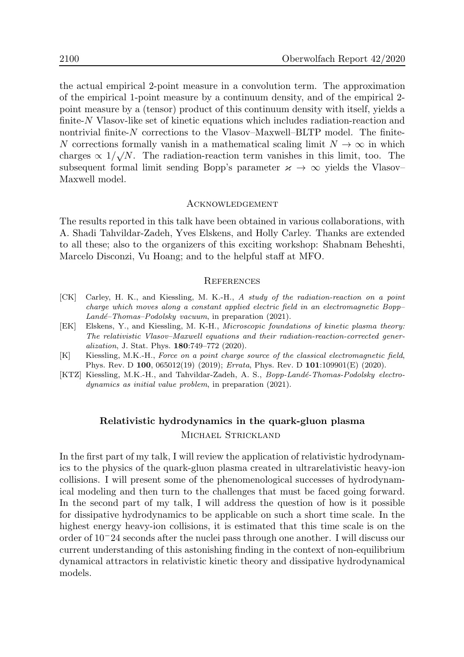the actual empirical 2-point measure in a convolution term. The approximation of the empirical 1-point measure by a continuum density, and of the empirical 2 point measure by a (tensor) product of this continuum density with itself, yields a finite-N Vlasov-like set of kinetic equations which includes radiation-reaction and nontrivial finite- $N$  corrections to the Vlasov–Maxwell–BLTP model. The finite-N corrections formally vanish in a mathematical scaling limit  $N \to \infty$  in which charges  $\propto 1/\sqrt{N}$ . The radiation-reaction term vanishes in this limit, too. The subsequent formal limit sending Bopp's parameter  $\varkappa \to \infty$  yields the Vlasov– Maxwell model.

#### **ACKNOWLEDGEMENT**

The results reported in this talk have been obtained in various collaborations, with A. Shadi Tahvildar-Zadeh, Yves Elskens, and Holly Carley. Thanks are extended to all these; also to the organizers of this exciting workshop: Shabnam Beheshti, Marcelo Disconzi, Vu Hoang; and to the helpful staff at MFO.

#### **REFERENCES**

- [CK] Carley, H. K., and Kiessling, M. K.-H., A study of the radiation-reaction on a point charge which moves along a constant applied electric field in an electromagnetic Bopp–  $Landé-Thomas-Podolsky vacuum$ , in preparation (2021).
- [EK] Elskens, Y., and Kiessling, M. K-H., Microscopic foundations of kinetic plasma theory: The relativistic Vlasov–Maxwell equations and their radiation-reaction-corrected generalization, J. Stat. Phys. 180:749–772 (2020).
- [K] Kiessling, M.K.-H., Force on a point charge source of the classical electromagnetic field, Phys. Rev. D 100, 065012(19) (2019); Errata, Phys. Rev. D 101:109901(E) (2020).
- [KTZ] Kiessling, M.K.-H., and Tahvildar-Zadeh, A. S., Bopp-Landé-Thomas-Podolsky electrodynamics as initial value problem, in preparation (2021).

# Relativistic hydrodynamics in the quark-gluon plasma MICHAEL STRICKLAND

In the first part of my talk, I will review the application of relativistic hydrodynamics to the physics of the quark-gluon plasma created in ultrarelativistic heavy-ion collisions. I will present some of the phenomenological successes of hydrodynamical modeling and then turn to the challenges that must be faced going forward. In the second part of my talk, I will address the question of how is it possible for dissipative hydrodynamics to be applicable on such a short time scale. In the highest energy heavy-ion collisions, it is estimated that this time scale is on the order of 10<sup>−</sup>24 seconds after the nuclei pass through one another. I will discuss our current understanding of this astonishing finding in the context of non-equilibrium dynamical attractors in relativistic kinetic theory and dissipative hydrodynamical models.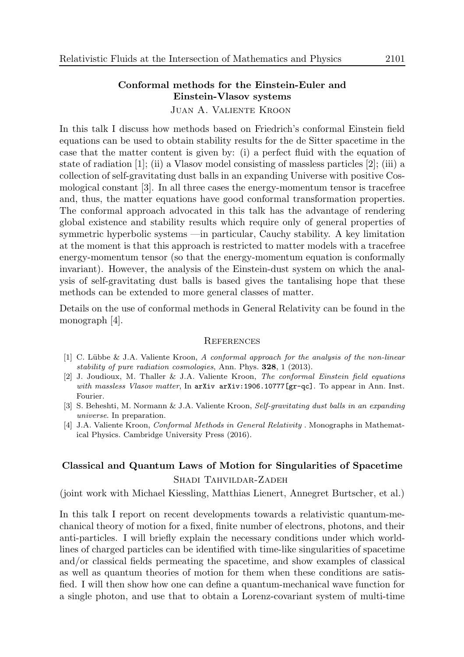# Conformal methods for the Einstein-Euler and Einstein-Vlasov systems

Juan A. Valiente Kroon

In this talk I discuss how methods based on Friedrich's conformal Einstein field equations can be used to obtain stability results for the de Sitter spacetime in the case that the matter content is given by: (i) a perfect fluid with the equation of state of radiation [1]; (ii) a Vlasov model consisting of massless particles [2]; (iii) a collection of self-gravitating dust balls in an expanding Universe with positive Cosmological constant [3]. In all three cases the energy-momentum tensor is tracefree and, thus, the matter equations have good conformal transformation properties. The conformal approach advocated in this talk has the advantage of rendering global existence and stability results which require only of general properties of symmetric hyperbolic systems —in particular, Cauchy stability. A key limitation at the moment is that this approach is restricted to matter models with a tracefree energy-momentum tensor (so that the energy-momentum equation is conformally invariant). However, the analysis of the Einstein-dust system on which the analysis of self-gravitating dust balls is based gives the tantalising hope that these methods can be extended to more general classes of matter.

Details on the use of conformal methods in General Relativity can be found in the monograph [4].

#### **REFERENCES**

- $[1]$  C. Lübbe & J.A. Valiente Kroon, A conformal approach for the analysis of the non-linear stability of pure radiation cosmologies, Ann. Phys. 328, 1 (2013).
- [2] J. Joudioux, M. Thaller & J.A. Valiente Kroon, The conformal Einstein field equations with massless Vlasov matter, In arXiv arXiv:1906.10777[gr-qc]. To appear in Ann. Inst. Fourier.
- [3] S. Beheshti, M. Normann & J.A. Valiente Kroon, Self-gravitating dust balls in an expanding universe. In preparation.
- [4] J.A. Valiente Kroon, Conformal Methods in General Relativity . Monographs in Mathematical Physics. Cambridge University Press (2016).

# Classical and Quantum Laws of Motion for Singularities of Spacetime Shadi Tahvildar-Zadeh

(joint work with Michael Kiessling, Matthias Lienert, Annegret Burtscher, et al.)

In this talk I report on recent developments towards a relativistic quantum-mechanical theory of motion for a fixed, finite number of electrons, photons, and their anti-particles. I will briefly explain the necessary conditions under which worldlines of charged particles can be identified with time-like singularities of spacetime and/or classical fields permeating the spacetime, and show examples of classical as well as quantum theories of motion for them when these conditions are satisfied. I will then show how one can define a quantum-mechanical wave function for a single photon, and use that to obtain a Lorenz-covariant system of multi-time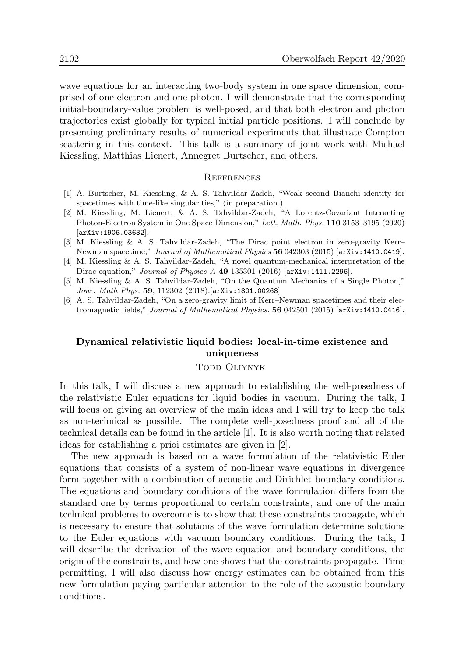wave equations for an interacting two-body system in one space dimension, comprised of one electron and one photon. I will demonstrate that the corresponding initial-boundary-value problem is well-posed, and that both electron and photon trajectories exist globally for typical initial particle positions. I will conclude by presenting preliminary results of numerical experiments that illustrate Compton scattering in this context. This talk is a summary of joint work with Michael Kiessling, Matthias Lienert, Annegret Burtscher, and others.

#### **REFERENCES**

- [1] A. Burtscher, M. Kiessling, & A. S. Tahvildar-Zadeh, "Weak second Bianchi identity for spacetimes with time-like singularities," (in preparation.)
- [2] M. Kiessling, M. Lienert, & A. S. Tahvildar-Zadeh, "A Lorentz-Covariant Interacting Photon-Electron System in One Space Dimension," Lett. Math. Phys. 110 3153–3195 (2020) [arXiv:1906.03632].
- [3] M. Kiessling & A. S. Tahvildar-Zadeh, "The Dirac point electron in zero-gravity Kerr– Newman spacetime," Journal of Mathematical Physics 56 042303 (2015) [arXiv:1410.0419].
- [4] M. Kiessling & A. S. Tahvildar-Zadeh, "A novel quantum-mechanical interpretation of the Dirac equation," Journal of Physics A 49 135301 (2016) [arXiv:1411.2296].
- [5] M. Kiessling & A. S. Tahvildar-Zadeh, "On the Quantum Mechanics of a Single Photon," Jour. Math Phys. 59, 112302 (2018).[arXiv:1801.00268]
- [6] A. S. Tahvildar-Zadeh, "On a zero-gravity limit of Kerr–Newman spacetimes and their electromagnetic fields," Journal of Mathematical Physics. 56 042501 (2015) [arXiv:1410.0416].

## Dynamical relativistic liquid bodies: local-in-time existence and uniqueness

#### TODD OLIYNYK

In this talk, I will discuss a new approach to establishing the well-posedness of the relativistic Euler equations for liquid bodies in vacuum. During the talk, I will focus on giving an overview of the main ideas and I will try to keep the talk as non-technical as possible. The complete well-posedness proof and all of the technical details can be found in the article [1]. It is also worth noting that related ideas for establishing a prioi estimates are given in [2].

The new approach is based on a wave formulation of the relativistic Euler equations that consists of a system of non-linear wave equations in divergence form together with a combination of acoustic and Dirichlet boundary conditions. The equations and boundary conditions of the wave formulation differs from the standard one by terms proportional to certain constraints, and one of the main technical problems to overcome is to show that these constraints propagate, which is necessary to ensure that solutions of the wave formulation determine solutions to the Euler equations with vacuum boundary conditions. During the talk, I will describe the derivation of the wave equation and boundary conditions, the origin of the constraints, and how one shows that the constraints propagate. Time permitting, I will also discuss how energy estimates can be obtained from this new formulation paying particular attention to the role of the acoustic boundary conditions.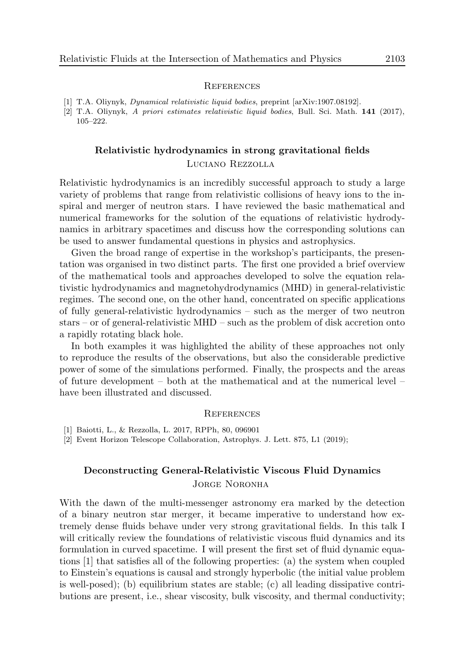[1] T.A. Oliynyk, Dynamical relativistic liquid bodies, preprint [arXiv:1907.08192].

[2] T.A. Oliynyk, A priori estimates relativistic liquid bodies, Bull. Sci. Math. 141 (2017), 105–222.

# Relativistic hydrodynamics in strong gravitational fields

### Luciano Rezzolla

Relativistic hydrodynamics is an incredibly successful approach to study a large variety of problems that range from relativistic collisions of heavy ions to the inspiral and merger of neutron stars. I have reviewed the basic mathematical and numerical frameworks for the solution of the equations of relativistic hydrodynamics in arbitrary spacetimes and discuss how the corresponding solutions can be used to answer fundamental questions in physics and astrophysics.

Given the broad range of expertise in the workshop's participants, the presentation was organised in two distinct parts. The first one provided a brief overview of the mathematical tools and approaches developed to solve the equation relativistic hydrodynamics and magnetohydrodynamics (MHD) in general-relativistic regimes. The second one, on the other hand, concentrated on specific applications of fully general-relativistic hydrodynamics – such as the merger of two neutron stars – or of general-relativistic MHD – such as the problem of disk accretion onto a rapidly rotating black hole.

In both examples it was highlighted the ability of these approaches not only to reproduce the results of the observations, but also the considerable predictive power of some of the simulations performed. Finally, the prospects and the areas of future development – both at the mathematical and at the numerical level – have been illustrated and discussed.

#### **REFERENCES**

[1] Baiotti, L., & Rezzolla, L. 2017, RPPh, 80, 096901

[2] Event Horizon Telescope Collaboration, Astrophys. J. Lett. 875, L1 (2019);

# Deconstructing General-Relativistic Viscous Fluid Dynamics JORGE NORONHA

With the dawn of the multi-messenger astronomy era marked by the detection of a binary neutron star merger, it became imperative to understand how extremely dense fluids behave under very strong gravitational fields. In this talk I will critically review the foundations of relativistic viscous fluid dynamics and its formulation in curved spacetime. I will present the first set of fluid dynamic equations [1] that satisfies all of the following properties: (a) the system when coupled to Einstein's equations is causal and strongly hyperbolic (the initial value problem is well-posed); (b) equilibrium states are stable; (c) all leading dissipative contributions are present, i.e., shear viscosity, bulk viscosity, and thermal conductivity;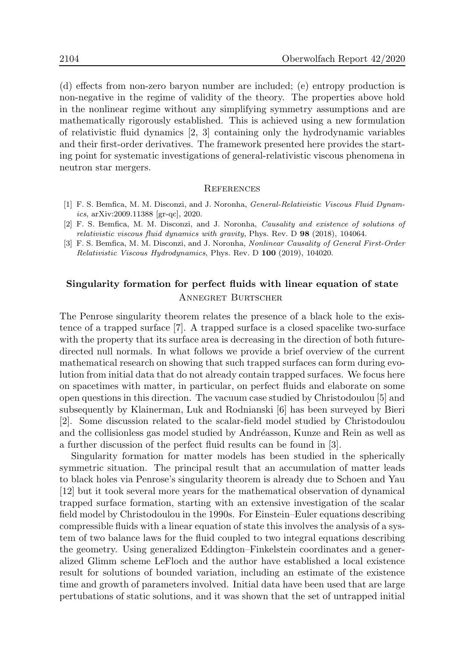(d) effects from non-zero baryon number are included; (e) entropy production is non-negative in the regime of validity of the theory. The properties above hold in the nonlinear regime without any simplifying symmetry assumptions and are mathematically rigorously established. This is achieved using a new formulation of relativistic fluid dynamics [2, 3] containing only the hydrodynamic variables and their first-order derivatives. The framework presented here provides the starting point for systematic investigations of general-relativistic viscous phenomena in neutron star mergers.

#### **REFERENCES**

- [1] F. S. Bemfica, M. M. Disconzi, and J. Noronha, General-Relativistic Viscous Fluid Dynamics, arXiv:2009.11388 [gr-qc], 2020.
- [2] F. S. Bemfica, M. M. Disconzi, and J. Noronha, Causality and existence of solutions of relativistic viscous fluid dynamics with gravity, Phys. Rev. D 98 (2018), 104064.
- [3] F. S. Bemfica, M. M. Disconzi, and J. Noronha, Nonlinear Causality of General First-Order Relativistic Viscous Hydrodynamics, Phys. Rev. D 100 (2019), 104020.

# Singularity formation for perfect fluids with linear equation of state Annegret Burtscher

The Penrose singularity theorem relates the presence of a black hole to the existence of a trapped surface [7]. A trapped surface is a closed spacelike two-surface with the property that its surface area is decreasing in the direction of both futuredirected null normals. In what follows we provide a brief overview of the current mathematical research on showing that such trapped surfaces can form during evolution from initial data that do not already contain trapped surfaces. We focus here on spacetimes with matter, in particular, on perfect fluids and elaborate on some open questions in this direction. The vacuum case studied by Christodoulou [5] and subsequently by Klainerman, Luk and Rodnianski [6] has been surveyed by Bieri [2]. Some discussion related to the scalar-field model studied by Christodoulou and the collisionless gas model studied by Andréasson, Kunze and Rein as well as a further discussion of the perfect fluid results can be found in [3].

Singularity formation for matter models has been studied in the spherically symmetric situation. The principal result that an accumulation of matter leads to black holes via Penrose's singularity theorem is already due to Schoen and Yau [12] but it took several more years for the mathematical observation of dynamical trapped surface formation, starting with an extensive investigation of the scalar field model by Christodoulou in the 1990s. For Einstein–Euler equations describing compressible fluids with a linear equation of state this involves the analysis of a system of two balance laws for the fluid coupled to two integral equations describing the geometry. Using generalized Eddington–Finkelstein coordinates and a generalized Glimm scheme LeFloch and the author have established a local existence result for solutions of bounded variation, including an estimate of the existence time and growth of parameters involved. Initial data have been used that are large pertubations of static solutions, and it was shown that the set of untrapped initial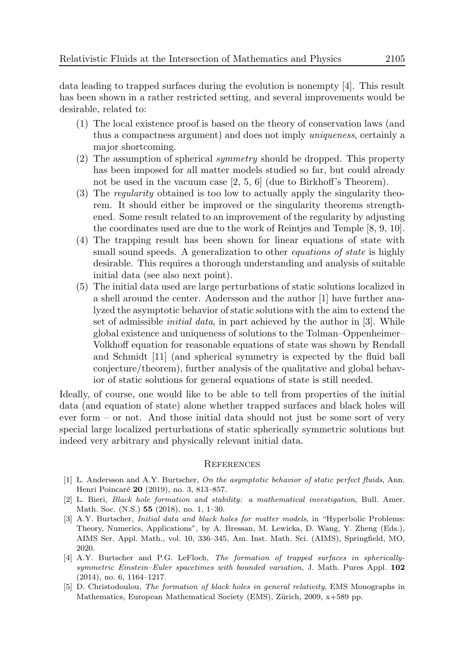data leading to trapped surfaces during the evolution is nonempty [4]. This result has been shown in a rather restricted setting, and several improvements would be desirable, related to:

- (1) The local existence proof is based on the theory of conservation laws (and thus a compactness argument) and does not imply uniqueness, certainly a major shortcoming.
- (2) The assumption of spherical symmetry should be dropped. This property has been imposed for all matter models studied so far, but could already not be used in the vacuum case [2, 5, 6] (due to Birkhoff's Theorem).
- (3) The regularity obtained is too low to actually apply the singularity theorem. It should either be improved or the singularity theorems strengthened. Some result related to an improvement of the regularity by adjusting the coordinates used are due to the work of Reintjes and Temple [8, 9, 10].
- (4) The trapping result has been shown for linear equations of state with small sound speeds. A generalization to other *equations of state* is highly desirable. This requires a thorough understanding and analysis of suitable initial data (see also next point).
- (5) The initial data used are large perturbations of static solutions localized in a shell around the center. Andersson and the author [1] have further analyzed the asymptotic behavior of static solutions with the aim to extend the set of admissible initial data, in part achieved by the author in [3]. While global existence and uniqueness of solutions to the Tolman–Oppenheimer– Volkhoff equation for reasonable equations of state was shown by Rendall and Schmidt [11] (and spherical symmetry is expected by the fluid ball conjecture/theorem), further analysis of the qualitative and global behavior of static solutions for general equations of state is still needed.

Ideally, of course, one would like to be able to tell from properties of the initial data (and equation of state) alone whether trapped surfaces and black holes will ever form – or not. And those initial data should not just be some sort of very special large localized perturbations of static spherically symmetric solutions but indeed very arbitrary and physically relevant initial data.

### **REFERENCES**

- [1] L. Andersson and A.Y. Burtscher, On the asymptotic behavior of static perfect fluids, Ann. Henri Poincaré 20 (2019), no. 3, 813-857.
- [2] L. Bieri, Black hole formation and stability: a mathematical investigation, Bull. Amer. Math. Soc. (N.S.) 55 (2018), no. 1, 1–30.
- [3] A.Y. Burtscher, *Initial data and black holes for matter models*, in "Hyperbolic Problems: Theory, Numerics, Applications", by A. Bressan, M. Lewicka, D. Wang, Y. Zheng (Eds.), AIMS Ser. Appl. Math., vol. 10, 336–345, Am. Inst. Math. Sci. (AIMS), Springfield, MO, 2020.
- [4] A.Y. Burtscher and P.G. LeFloch, The formation of trapped surfaces in sphericallysymmetric Einstein–Euler spacetimes with bounded variation, J. Math. Pures Appl. 102 (2014), no. 6, 1164–1217.
- [5] D. Christodoulou, The formation of black holes in general relativity, EMS Monographs in Mathematics, European Mathematical Society (EMS), Zürich, 2009,  $x+589$  pp.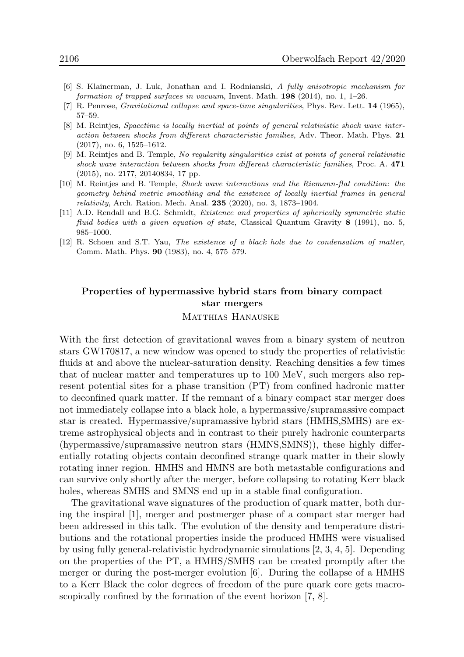- [6] S. Klainerman, J. Luk, Jonathan and I. Rodnianski, A fully anisotropic mechanism for formation of trapped surfaces in vacuum, Invent. Math.  $198$  (2014), no. 1, 1–26.
- [7] R. Penrose, *Gravitational collapse and space-time singularities*, Phys. Rev. Lett. **14** (1965), 57–59.
- [8] M. Reintjes, Spacetime is locally inertial at points of general relativistic shock wave interaction between shocks from different characteristic families, Adv. Theor. Math. Phys. 21 (2017), no. 6, 1525–1612.
- [9] M. Reintjes and B. Temple, No regularity singularities exist at points of general relativistic shock wave interaction between shocks from different characteristic families, Proc. A. 471 (2015), no. 2177, 20140834, 17 pp.
- [10] M. Reintjes and B. Temple, Shock wave interactions and the Riemann-flat condition: the geometry behind metric smoothing and the existence of locally inertial frames in general relativity, Arch. Ration. Mech. Anal. 235 (2020), no. 3, 1873–1904.
- [11] A.D. Rendall and B.G. Schmidt, Existence and properties of spherically symmetric static fluid bodies with a given equation of state, Classical Quantum Gravity 8 (1991), no. 5, 985–1000.
- [12] R. Schoen and S.T. Yau, The existence of a black hole due to condensation of matter, Comm. Math. Phys. 90 (1983), no. 4, 575–579.

## Properties of hypermassive hybrid stars from binary compact star mergers

#### MATTHIAS HANAUSKE

With the first detection of gravitational waves from a binary system of neutron stars GW170817, a new window was opened to study the properties of relativistic fluids at and above the nuclear-saturation density. Reaching densities a few times that of nuclear matter and temperatures up to 100 MeV, such mergers also represent potential sites for a phase transition (PT) from confined hadronic matter to deconfined quark matter. If the remnant of a binary compact star merger does not immediately collapse into a black hole, a hypermassive/supramassive compact star is created. Hypermassive/supramassive hybrid stars (HMHS,SMHS) are extreme astrophysical objects and in contrast to their purely hadronic counterparts (hypermassive/supramassive neutron stars (HMNS,SMNS)), these highly differentially rotating objects contain deconfined strange quark matter in their slowly rotating inner region. HMHS and HMNS are both metastable configurations and can survive only shortly after the merger, before collapsing to rotating Kerr black holes, whereas SMHS and SMNS end up in a stable final configuration.

The gravitational wave signatures of the production of quark matter, both during the inspiral [1], merger and postmerger phase of a compact star merger had been addressed in this talk. The evolution of the density and temperature distributions and the rotational properties inside the produced HMHS were visualised by using fully general-relativistic hydrodynamic simulations [2, 3, 4, 5]. Depending on the properties of the PT, a HMHS/SMHS can be created promptly after the merger or during the post-merger evolution [6]. During the collapse of a HMHS to a Kerr Black the color degrees of freedom of the pure quark core gets macroscopically confined by the formation of the event horizon [7, 8].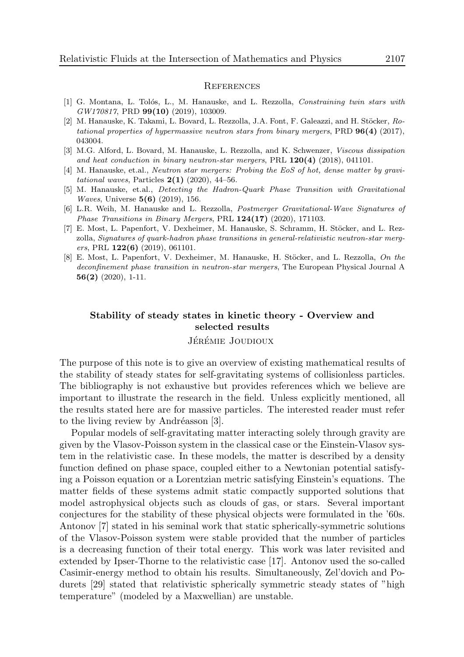#### **REFERENCES**

- [1] G. Montana, L. Tolós, L., M. Hanauske, and L. Rezzolla, *Constraining twin stars with* GW170817, PRD 99(10) (2019), 103009.
- [2] M. Hanauske, K. Takami, L. Bovard, L. Rezzolla, J.A. Font, F. Galeazzi, and H. Stöcker, Rotational properties of hypermassive neutron stars from binary mergers, PRD  $96(4)$  (2017), 043004.
- [3] M.G. Alford, L. Bovard, M. Hanauske, L. Rezzolla, and K. Schwenzer, Viscous dissipation and heat conduction in binary neutron-star mergers, PRL  $120(4)$  (2018), 041101.
- [4] M. Hanauske, et.al., *Neutron star mergers: Probing the EoS of hot, dense matter by gravi*tational waves, Particles  $2(1)$  (2020), 44-56.
- [5] M. Hanauske, et.al., Detecting the Hadron-Quark Phase Transition with Gravitational Waves, Universe 5(6) (2019), 156.
- [6] L.R. Weih, M. Hanauske and L. Rezzolla, Postmerger Gravitational-Wave Signatures of Phase Transitions in Binary Mergers, PRL  $124(17)$  (2020), 171103.
- [7] E. Most, L. Papenfort, V. Dexheimer, M. Hanauske, S. Schramm, H. Stöcker, and L. Rezzolla, Signatures of quark-hadron phase transitions in general-relativistic neutron-star mergers, PRL **122(6)** (2019), 061101.
- [8] E. Most, L. Papenfort, V. Dexheimer, M. Hanauske, H. Stöcker, and L. Rezzolla, On the deconfinement phase transition in neutron-star mergers, The European Physical Journal A 56(2) (2020), 1-11.

# Stability of steady states in kinetic theory - Overview and selected results

#### JÉRÉMIE JOUDIOUX

The purpose of this note is to give an overview of existing mathematical results of the stability of steady states for self-gravitating systems of collisionless particles. The bibliography is not exhaustive but provides references which we believe are important to illustrate the research in the field. Unless explicitly mentioned, all the results stated here are for massive particles. The interested reader must refer to the living review by Andréasson  $[3]$ .

Popular models of self-gravitating matter interacting solely through gravity are given by the Vlasov-Poisson system in the classical case or the Einstein-Vlasov system in the relativistic case. In these models, the matter is described by a density function defined on phase space, coupled either to a Newtonian potential satisfying a Poisson equation or a Lorentzian metric satisfying Einstein's equations. The matter fields of these systems admit static compactly supported solutions that model astrophysical objects such as clouds of gas, or stars. Several important conjectures for the stability of these physical objects were formulated in the '60s. Antonov [7] stated in his seminal work that static spherically-symmetric solutions of the Vlasov-Poisson system were stable provided that the number of particles is a decreasing function of their total energy. This work was later revisited and extended by Ipser-Thorne to the relativistic case [17]. Antonov used the so-called Casimir-energy method to obtain his results. Simultaneously, Zel'dovich and Podurets [29] stated that relativistic spherically symmetric steady states of "high temperature" (modeled by a Maxwellian) are unstable.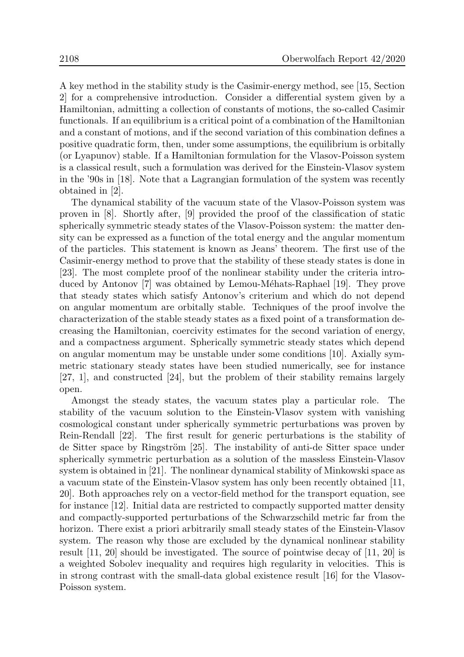A key method in the stability study is the Casimir-energy method, see [15, Section 2] for a comprehensive introduction. Consider a differential system given by a Hamiltonian, admitting a collection of constants of motions, the so-called Casimir functionals. If an equilibrium is a critical point of a combination of the Hamiltonian and a constant of motions, and if the second variation of this combination defines a positive quadratic form, then, under some assumptions, the equilibrium is orbitally (or Lyapunov) stable. If a Hamiltonian formulation for the Vlasov-Poisson system is a classical result, such a formulation was derived for the Einstein-Vlasov system in the '90s in [18]. Note that a Lagrangian formulation of the system was recently obtained in [2].

The dynamical stability of the vacuum state of the Vlasov-Poisson system was proven in [8]. Shortly after, [9] provided the proof of the classification of static spherically symmetric steady states of the Vlasov-Poisson system: the matter density can be expressed as a function of the total energy and the angular momentum of the particles. This statement is known as Jeans' theorem. The first use of the Casimir-energy method to prove that the stability of these steady states is done in [23]. The most complete proof of the nonlinear stability under the criteria introduced by Antonov [7] was obtained by Lemou-Méhats-Raphael [19]. They prove that steady states which satisfy Antonov's criterium and which do not depend on angular momentum are orbitally stable. Techniques of the proof involve the characterization of the stable steady states as a fixed point of a transformation decreasing the Hamiltonian, coercivity estimates for the second variation of energy, and a compactness argument. Spherically symmetric steady states which depend on angular momentum may be unstable under some conditions [10]. Axially symmetric stationary steady states have been studied numerically, see for instance [27, 1], and constructed [24], but the problem of their stability remains largely open.

Amongst the steady states, the vacuum states play a particular role. The stability of the vacuum solution to the Einstein-Vlasov system with vanishing cosmological constant under spherically symmetric perturbations was proven by Rein-Rendall [22]. The first result for generic perturbations is the stability of de Sitter space by Ringström [25]. The instability of anti-de Sitter space under spherically symmetric perturbation as a solution of the massless Einstein-Vlasov system is obtained in [21]. The nonlinear dynamical stability of Minkowski space as a vacuum state of the Einstein-Vlasov system has only been recently obtained [11, 20]. Both approaches rely on a vector-field method for the transport equation, see for instance [12]. Initial data are restricted to compactly supported matter density and compactly-supported perturbations of the Schwarzschild metric far from the horizon. There exist a priori arbitrarily small steady states of the Einstein-Vlasov system. The reason why those are excluded by the dynamical nonlinear stability result [11, 20] should be investigated. The source of pointwise decay of [11, 20] is a weighted Sobolev inequality and requires high regularity in velocities. This is in strong contrast with the small-data global existence result [16] for the Vlasov-Poisson system.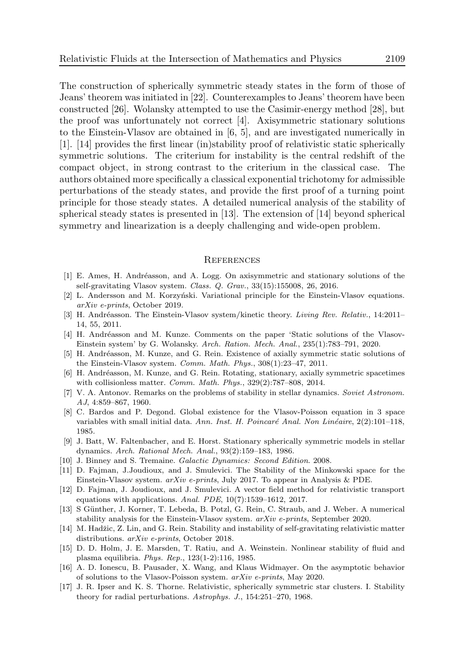The construction of spherically symmetric steady states in the form of those of Jeans' theorem was initiated in [22]. Counterexamples to Jeans' theorem have been constructed [26]. Wolansky attempted to use the Casimir-energy method [28], but the proof was unfortunately not correct [4]. Axisymmetric stationary solutions to the Einstein-Vlasov are obtained in [6, 5], and are investigated numerically in [1]. [14] provides the first linear (in)stability proof of relativistic static spherically symmetric solutions. The criterium for instability is the central redshift of the compact object, in strong contrast to the criterium in the classical case. The authors obtained more specifically a classical exponential trichotomy for admissible perturbations of the steady states, and provide the first proof of a turning point principle for those steady states. A detailed numerical analysis of the stability of spherical steady states is presented in [13]. The extension of [14] beyond spherical symmetry and linearization is a deeply challenging and wide-open problem.

#### **REFERENCES**

- [1] E. Ames, H. Andr´easson, and A. Logg. On axisymmetric and stationary solutions of the self-gravitating Vlasov system. Class. Q. Grav., 33(15):155008, 26, 2016.
- [2] L. Andersson and M. Korzyński. Variational principle for the Einstein-Vlasov equations. arXiv e-prints, October 2019.
- [3] H. Andréasson. The Einstein-Vlasov system/kinetic theory. Living Rev. Relativ., 14:2011– 14, 55, 2011.
- [4] H. Andréasson and M. Kunze. Comments on the paper 'Static solutions of the Vlasov-Einstein system' by G. Wolansky. Arch. Ration. Mech. Anal., 235(1):783–791, 2020.
- [5] H. Andréasson, M. Kunze, and G. Rein. Existence of axially symmetric static solutions of the Einstein-Vlasov system. Comm. Math. Phys., 308(1):23–47, 2011.
- [6] H. Andréasson, M. Kunze, and G. Rein. Rotating, stationary, axially symmetric spacetimes with collisionless matter. Comm. Math. Phys., 329(2):787–808, 2014.
- [7] V. A. Antonov. Remarks on the problems of stability in stellar dynamics. Soviet Astronom. AJ, 4:859–867, 1960.
- [8] C. Bardos and P. Degond. Global existence for the Vlasov-Poisson equation in 3 space variables with small initial data. Ann. Inst. H. Poincaré Anal. Non Linéaire, 2(2):101-118, 1985.
- [9] J. Batt, W. Faltenbacher, and E. Horst. Stationary spherically symmetric models in stellar dynamics. Arch. Rational Mech. Anal., 93(2):159–183, 1986.
- [10] J. Binney and S. Tremaine. Galactic Dynamics: Second Edition. 2008.
- [11] D. Fajman, J.Joudioux, and J. Smulevici. The Stability of the Minkowski space for the Einstein-Vlasov system. arXiv e-prints, July 2017. To appear in Analysis & PDE.
- [12] D. Fajman, J. Joudioux, and J. Smulevici. A vector field method for relativistic transport equations with applications. Anal. PDE, 10(7):1539–1612, 2017.
- [13] S Günther, J. Korner, T. Lebeda, B. Potzl, G. Rein, C. Straub, and J. Weber. A numerical stability analysis for the Einstein-Vlasov system. arXiv e-prints, September 2020.
- [14] M. Hadžic, Z. Lin, and G. Rein. Stability and instability of self-gravitating relativistic matter distributions. arXiv e-prints, October 2018.
- [15] D. D. Holm, J. E. Marsden, T. Ratiu, and A. Weinstein. Nonlinear stability of fluid and plasma equilibria. Phys. Rep., 123(1-2):116, 1985.
- [16] A. D. Ionescu, B. Pausader, X. Wang, and Klaus Widmayer. On the asymptotic behavior of solutions to the Vlasov-Poisson system. arXiv e-prints, May 2020.
- [17] J. R. Ipser and K. S. Thorne. Relativistic, spherically symmetric star clusters. I. Stability theory for radial perturbations. Astrophys. J., 154:251–270, 1968.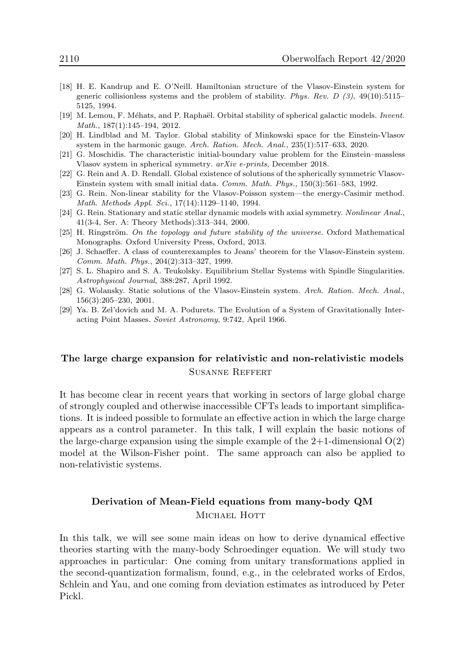- [18] H. E. Kandrup and E. O'Neill. Hamiltonian structure of the Vlasov-Einstein system for generic collisionless systems and the problem of stability. Phys. Rev. D  $(3)$ , 49(10):5115– 5125, 1994.
- [19] M. Lemou, F. Méhats, and P. Raphaël. Orbital stability of spherical galactic models. *Invent.* Math., 187(1):145–194, 2012.
- [20] H. Lindblad and M. Taylor. Global stability of Minkowski space for the Einstein-Vlasov system in the harmonic gauge. Arch. Ration. Mech. Anal., 235(1):517–633, 2020.
- [21] G. Moschidis. The characteristic initial-boundary value problem for the Einstein–massless Vlasov system in spherical symmetry. arXiv e-prints, December 2018.
- [22] G. Rein and A. D. Rendall. Global existence of solutions of the spherically symmetric Vlasov-Einstein system with small initial data. Comm. Math. Phys., 150(3):561–583, 1992.
- [23] G. Rein. Non-linear stability for the Vlasov-Poisson system—the energy-Casimir method. Math. Methods Appl. Sci., 17(14):1129–1140, 1994.
- [24] G. Rein. Stationary and static stellar dynamic models with axial symmetry. Nonlinear Anal., 41(3-4, Ser. A: Theory Methods):313–344, 2000.
- $[25]$  H. Ringström. On the topology and future stability of the universe. Oxford Mathematical Monographs. Oxford University Press, Oxford, 2013.
- [26] J. Schaeffer. A class of counterexamples to Jeans' theorem for the Vlasov-Einstein system. Comm. Math. Phys., 204(2):313–327, 1999.
- [27] S. L. Shapiro and S. A. Teukolsky. Equilibrium Stellar Systems with Spindle Singularities. Astrophysical Journal, 388:287, April 1992.
- [28] G. Wolansky. Static solutions of the Vlasov-Einstein system. Arch. Ration. Mech. Anal., 156(3):205–230, 2001.
- [29] Ya. B. Zel'dovich and M. A. Podurets. The Evolution of a System of Gravitationally Interacting Point Masses. Soviet Astronomy, 9:742, April 1966.

# The large charge expansion for relativistic and non-relativistic models Susanne Reffert

It has become clear in recent years that working in sectors of large global charge of strongly coupled and otherwise inaccessible CFTs leads to important simplifications. It is indeed possible to formulate an effective action in which the large charge appears as a control parameter. In this talk, I will explain the basic notions of the large-charge expansion using the simple example of the  $2+1$ -dimensional  $O(2)$ model at the Wilson-Fisher point. The same approach can also be applied to non-relativistic systems.

# Derivation of Mean-Field equations from many-body QM MICHAEL HOTT

In this talk, we will see some main ideas on how to derive dynamical effective theories starting with the many-body Schroedinger equation. We will study two approaches in particular: One coming from unitary transformations applied in the second-quantization formalism, found, e.g., in the celebrated works of Erdos, Schlein and Yau, and one coming from deviation estimates as introduced by Peter Pickl.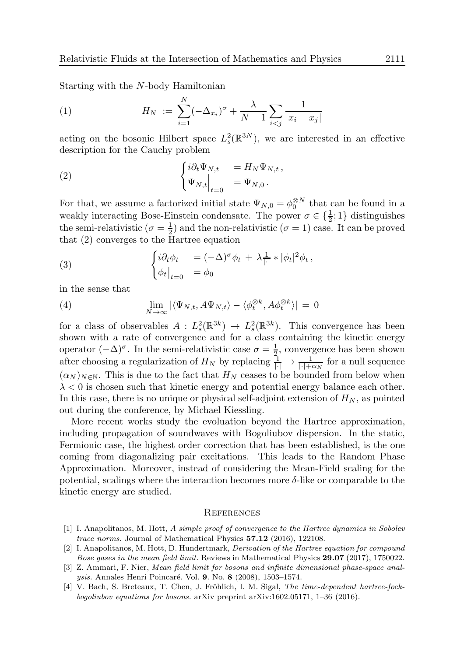Starting with the N-body Hamiltonian

(1) 
$$
H_N := \sum_{i=1}^N (-\Delta_{x_i})^{\sigma} + \frac{\lambda}{N-1} \sum_{i < j} \frac{1}{|x_i - x_j|}
$$

acting on the bosonic Hilbert space  $L_s^2$  $s^2(\mathbb{R}^{3N})$ , we are interested in an effective description for the Cauchy problem

(2) 
$$
\begin{cases} i\partial_t \Psi_{N,t} &= H_N \Psi_{N,t}, \\ \Psi_{N,t} \Big|_{t=0} &= \Psi_{N,0}. \end{cases}
$$

For that, we assume a factorized initial state  $\Psi_{N,0} = \phi_0^{\otimes N}$  that can be found in a weakly interacting Bose-Einstein condensate. The power  $\sigma \in \{\frac{1}{2}, 1\}$  distinguishes the semi-relativistic  $(\sigma = \frac{1}{2})$  $\frac{1}{2}$ ) and the non-relativistic ( $\sigma = 1$ ) case. It can be proved that (2) converges to the Hartree equation

(3) 
$$
\begin{cases} i\partial_t \phi_t &= (-\Delta)^\sigma \phi_t + \lambda \frac{1}{|\cdot|} * |\phi_t|^2 \phi_t, \\ \phi_t |_{t=0} &= \phi_0 \end{cases}
$$

in the sense that

(4) 
$$
\lim_{N \to \infty} |\langle \Psi_{N,t}, A\Psi_{N,t} \rangle - \langle \phi_t^{\otimes k}, A\phi_t^{\otimes k} \rangle| = 0
$$

for a class of observables  $A : L^2_s$  $L_s^2(\mathbb{R}^{3k}) \rightarrow L_s^2$  $s^2(\mathbb{R}^{3k})$ . This convergence has been shown with a rate of convergence and for a class containing the kinetic energy operator  $(-\Delta)^{\sigma}$ . In the semi-relativistic case  $\sigma = \frac{1}{2}$  $\frac{1}{2}$ , convergence has been shown after choosing a regularization of  $H_N$  by replacing  $\frac{1}{|\cdot|} \to \frac{1}{|\cdot| + \alpha_N}$  for a null sequence  $(\alpha_N)_{N\in\mathbb{N}}$ . This is due to the fact that  $H_N$  ceases to be bounded from below when  $\lambda < 0$  is chosen such that kinetic energy and potential energy balance each other. In this case, there is no unique or physical self-adjoint extension of  $H_N$ , as pointed out during the conference, by Michael Kiessling.

More recent works study the evoluation beyond the Hartree approximation, including propagation of soundwaves with Bogoliubov dispersion. In the static, Fermionic case, the highest order correction that has been established, is the one coming from diagonalizing pair excitations. This leads to the Random Phase Approximation. Moreover, instead of considering the Mean-Field scaling for the potential, scalings where the interaction becomes more  $\delta$ -like or comparable to the kinetic energy are studied.

#### **REFERENCES**

- [1] I. Anapolitanos, M. Hott, A simple proof of convergence to the Hartree dynamics in Sobolev trace norms. Journal of Mathematical Physics 57.12 (2016), 122108.
- [2] I. Anapolitanos, M. Hott, D. Hundertmark, Derivation of the Hartree equation for compound Bose gases in the mean field limit. Reviews in Mathematical Physics 29.07 (2017), 1750022.
- [3] Z. Ammari, F. Nier, *Mean field limit for bosons and infinite dimensional phase-space analusis.* Annales Henri Poincaré. Vol. 9. No. 8 (2008), 1503–1574.
- [4] V. Bach, S. Breteaux, T. Chen, J. Fröhlich, I. M. Sigal, The time-dependent hartree-fockbogoliubov equations for bosons. arXiv preprint arXiv:1602.05171, 1–36 (2016).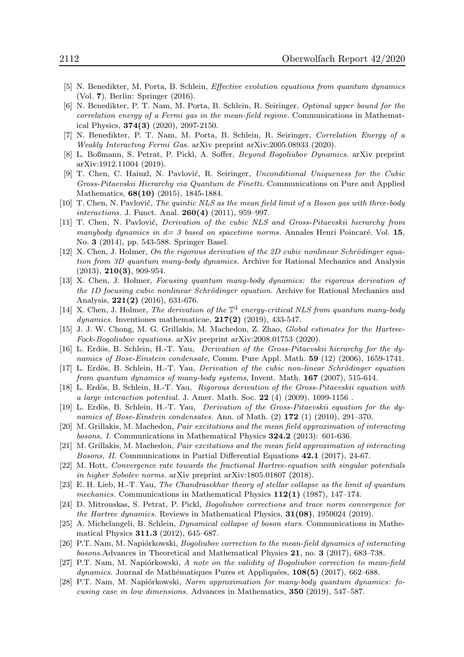- [5] N. Benedikter, M. Porta, B. Schlein, Effective evolution equations from quantum dynamics (Vol. 7). Berlin: Springer (2016).
- [6] N. Benedikter, P. T. Nam, M. Porta, B. Schlein, R. Seiringer, Optimal upper bound for the correlation energy of a Fermi gas in the mean-field regime. Communications in Mathematical Physics, 374(3) (2020), 2097-2150.
- [7] N. Benedikter, P. T. Nam, M. Porta, B. Schlein, R. Seiringer, Correlation Energy of a Weakly Interacting Fermi Gas. arXiv preprint arXiv:2005.08933 (2020).
- [8] L. Boßmann, S. Petrat, P. Pickl, A. Soffer, Beyond Bogoliubov Dynamics. arXiv preprint arXiv:1912.11004 (2019).
- [9] T. Chen, C. Hainzl, N. Pavlović, R. Seiringer, Unconditional Uniqueness for the Cubic Gross-Pitaevskii Hierarchy via Quantum de Finetti. Communications on Pure and Applied Mathematics, 68(10) (2015), 1845-1884.
- $[10]$  T. Chen, N. Pavlović, The quintic NLS as the mean field limit of a Boson gas with three-body interactions. J. Funct. Anal. **260(4)** (2011), 959-997.
- [11] T. Chen, N. Pavlović, *Derivation of the cubic NLS and Gross-Pitaevskii hierarchy from* manybody dynamics in  $d=3$  based on spacetime norms. Annales Henri Poincaré. Vol. 15, No. 3 (2014), pp. 543-588. Springer Basel.
- $[12]$  X. Chen, J. Holmer, On the rigorous derivation of the 2D cubic nonlinear Schrödinger equation from 3D quantum many-body dynamics. Archive for Rational Mechanics and Analysis  $(2013), 210(3), 909-954.$
- [13] X. Chen, J. Holmer, Focusing quantum many-body dynamics: the rigorous derivation of the 1D focusing cubic nonlinear Schrödinger equation. Archive for Rational Mechanics and Analysis, 221(2) (2016), 631-676.
- [14] X. Chen, J. Holmer, The derivation of the  $\mathbb{T}^3$  energy-critical NLS from quantum many-body  $dynamics.$  Inventiones mathematicae,  $217(2)$  (2019), 433-547.
- [15] J. J. W. Chong, M. G. Grillakis, M. Machedon, Z. Zhao, *Global estimates for the Hartree-*Fock-Bogoliubov equations. arXiv preprint arXiv:2008.01753 (2020).
- [16] L. Erdös, B. Schlein, H.-T. Yau, Derivation of the Gross-Pitaevskii hierarchy for the dynamics of Bose-Einstein condensate, Comm. Pure Appl. Math. 59 (12) (2006), 1659-1741.
- [17] L. Erdös, B. Schlein, H.-T. Yau, Derivation of the cubic non-linear Schrödinger equation from quantum dynamics of many-body systems, Invent. Math. 167 (2007), 515-614.
- [18] L. Erdös, B. Schlein, H.-T. Yau, Rigorous derivation of the Gross-Pitaevskii equation with a large interaction potential. J. Amer. Math. Soc. 22  $(4)$  (2009), 1099-1156.
- [19] L. Erdös, B. Schlein, H.-T. Yau, Derivation of the Gross-Pitaevskii equation for the dynamics of Bose-Einstein condensates. Ann. of Math.  $(2)$  172  $(1)$   $(2010)$ , 291–370.
- [20] M. Grillakis, M. Machedon, Pair excitations and the mean field approximation of interacting bosons, I. Communications in Mathematical Physics 324.2 (2013): 601-636.
- [21] M. Grillakis, M. Machedon, Pair excitations and the mean field approximation of interacting Bosons, II. Communications in Partial Differential Equations 42.1 (2017), 24-67.
- [22] M. Hott, Convergence rate towards the fractional Hartree-equation with singular potentials in higher Sobolev norms. arXiv preprint arXiv:1805.01807 (2018).
- [23] E. H. Lieb, H.-T. Yau, The Chandrasekhar theory of stellar collapse as the limit of quantum mechanics. Communications in Mathematical Physics  $112(1)$  (1987), 147–174.
- [24] D. Mitrouskas, S. Petrat, P. Pickl, Bogoliubov corrections and trace norm convergence for the Hartree dynamics. Reviews in Mathematical Physics,  $31(08)$ , 1950024 (2019).
- [25] A. Michelangeli, B. Schlein, Dynamical collapse of boson stars. Communications in Mathematical Physics 311.3 (2012), 645–687.
- [26] P.T. Nam, M. Napiórkowski, *Bogoliubov correction to the mean-field dynamics of interacting* bosons.Advances in Theoretical and Mathematical Physics 21, no. 3 (2017), 683–738.
- [27] P.T. Nam, M. Napiórkowski, A note on the validity of Bogoliubov correction to mean-field dynamics. Journal de Mathématiques Pures et Appliquées,  $108(5)$  (2017), 662–688.
- [28] P.T. Nam, M. Napiórkowski, Norm approximation for many-body quantum dynamics: focusing case in low dimensions. Advances in Mathematics, 350 (2019), 547–587.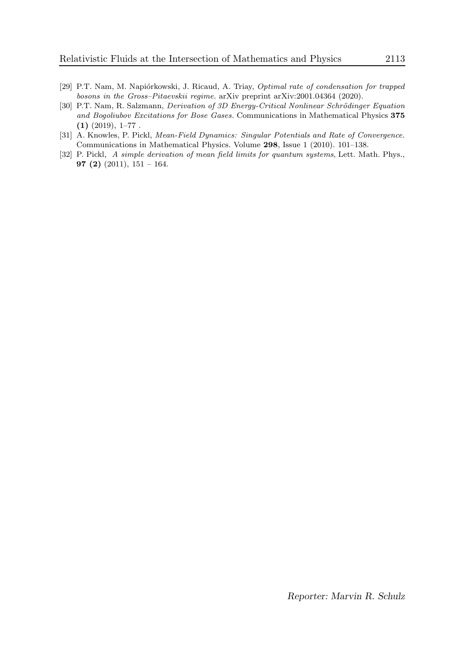- [29] P.T. Nam, M. Napiórkowski, J. Ricaud, A. Triay, Optimal rate of condensation for trapped bosons in the Gross–Pitaevskii regime. arXiv preprint arXiv:2001.04364 (2020).
- [30] P.T. Nam, R. Salzmann, *Derivation of 3D Energy-Critical Nonlinear Schrödinger Equation* and Bogoliubov Excitations for Bose Gases. Communications in Mathematical Physics 375  $(1)$   $(2019)$ ,  $1-77$ .
- [31] A. Knowles, P. Pickl, *Mean-Field Dynamics: Singular Potentials and Rate of Convergence.* Communications in Mathematical Physics. Volume 298, Issue 1 (2010). 101–138.
- [32] P. Pickl, A simple derivation of mean field limits for quantum systems, Lett. Math. Phys., 97 (2) (2011),  $151 - 164$ .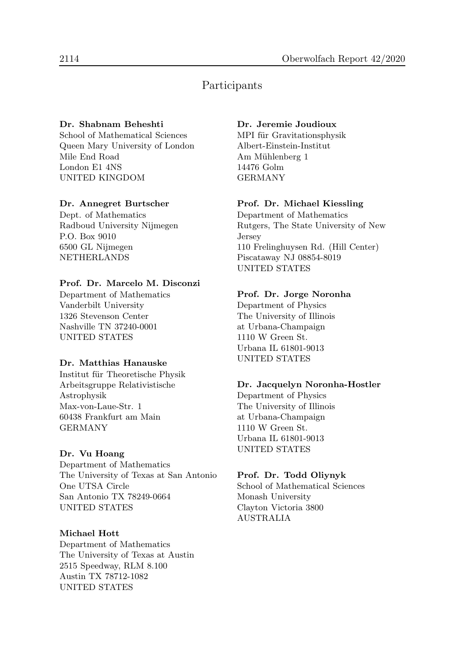# Participants

### Dr. Shabnam Beheshti

School of Mathematical Sciences Queen Mary University of London Mile End Road London E1 4NS UNITED KINGDOM

### Dr. Annegret Burtscher

Dept. of Mathematics Radboud University Nijmegen P.O. Box 9010 6500 GL Nijmegen NETHERLANDS

### Prof. Dr. Marcelo M. Disconzi

Department of Mathematics Vanderbilt University 1326 Stevenson Center Nashville TN 37240-0001 UNITED STATES

### Dr. Matthias Hanauske

Institut für Theoretische Physik Arbeitsgruppe Relativistische Astrophysik Max-von-Laue-Str. 1 60438 Frankfurt am Main GERMANY

## Dr. Vu Hoang

Department of Mathematics The University of Texas at San Antonio One UTSA Circle San Antonio TX 78249-0664 UNITED STATES

### Michael Hott

Department of Mathematics The University of Texas at Austin 2515 Speedway, RLM 8.100 Austin TX 78712-1082 UNITED STATES

### Dr. Jeremie Joudioux

MPI für Gravitationsphysik Albert-Einstein-Institut Am Mühlenberg 1 14476 Golm GERMANY

### Prof. Dr. Michael Kiessling

Department of Mathematics Rutgers, The State University of New Jersey 110 Frelinghuysen Rd. (Hill Center) Piscataway NJ 08854-8019 UNITED STATES

### Prof. Dr. Jorge Noronha

Department of Physics The University of Illinois at Urbana-Champaign 1110 W Green St. Urbana IL 61801-9013 UNITED STATES

### Dr. Jacquelyn Noronha-Hostler

Department of Physics The University of Illinois at Urbana-Champaign 1110 W Green St. Urbana IL 61801-9013 UNITED STATES

### Prof. Dr. Todd Oliynyk

School of Mathematical Sciences Monash University Clayton Victoria 3800 AUSTRALIA